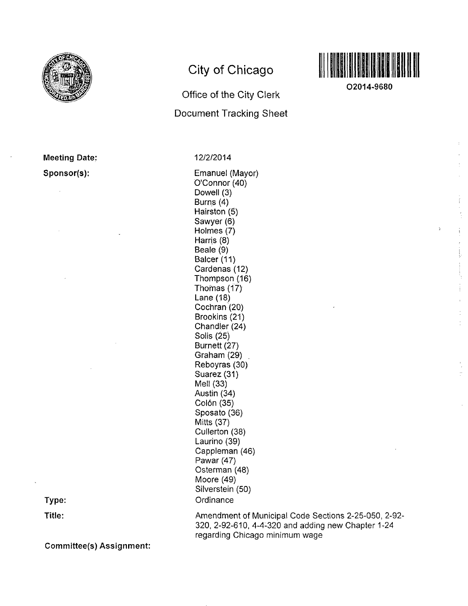

# **City of Chicago**

# Office of the City Clerk

# Document Tracking Sheet

Emanuel (Mayor) O'Connor (40) Dowell (3) Burns (4) Hairston (5) Sawyer (6) Holmes (7) Harris (8) Beale (9)

12/2/2014



**O2014-9680** 

 $\mathbf{i}$ 

 $\label{eq:2.1} \frac{1}{2} \int_{0}^{2\pi} \frac{1}{2} \left( \frac{1}{2} \int_{0}^{2\pi} \frac{1}{2} \left( \frac{1}{2} \int_{0}^{2\pi} \frac{1}{2} \left( \frac{1}{2} \int_{0}^{2\pi} \frac{1}{2} \right) \frac{1}{2} \right) \right) \, d\mu$ 

 $\frac{1}{3}$ ä,  $\frac{1}{2}$  $\frac{1}{4}$ 

**Meeting Date; Sponsor(s):** 

> Balcer (11) Cardenas (12) Thompson (16) Thomas (17) Lane (18) Cochran (20) Brookins (21) Chandler (24) Solis (25) Burnett (27) Graham (29) Reboyras (30) Suarez (31) Mell (33) Austin (34) Colón (35) Sposato (36) Mitts (37) Cullerton (38) Laurino (39) Cappleman (46) Pawar (47) Osterman (48) Moore (49) Silverstein (50) **Ordinance**

**Type:** 

**Title:** 

Amendment of Municipal Code Sections 2-25-050, 2-92- 320, 2-92-610, 4-4-320 and adding new Chapter 1-24 regarding Chicago minimum wage

**Committee(s) Assignment:**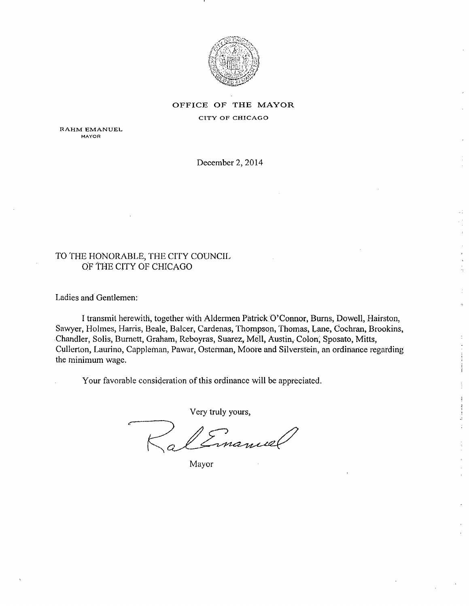

# OFFICE OF THE MAYOR CITY OF CHICAGO

RAHM EMANUEL MAYOR

December 2, 2014

# TO THE HONORABLE, THE CITY COUNCIL OF THE CITY OF CHICAGO

Ladies and Gentlemen:

I transmit herewith, together with Aldermen Patrick O'Connor, Bums, Dowell, Hairston, Sawyer, Holmes, Harris, Beale, Balcer, Cardenas, Thompson, Thomas, Lane, Cochran, Brookins, Chandler, Solis, Burnett, Graham, Reboyras, Suarez, Mell, Austin, Colon, Sposato, Mitts, Cullerton, Laurino, Cappleman, Pawar, Osterman, Moore and Silverstein, an ordinance regarding the minimum wage.

Your favorable consideration of this ordinance will be appreciated.

Very truly yours.

Emanuel

Mayor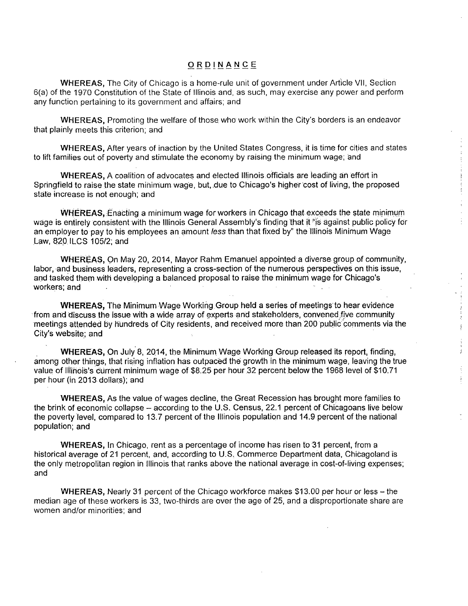# ORDINANCE

WHEREAS. The City of Chicago is a home-rule unit of government under Article VII. Section 6(a) of the 1970 Constitution of the State of Illinois and, as such, may exercise any power and perform any function pertaining to its government and affairs; and

WHEREAS, Promoting the welfare of those who work within the City's borders is an endeavor that plainly meets this criterion; and

WHEREAS, After years of inaction by the United States Congress, it is time for cities and states to lift families out of poverty and stimulate the economy by raising the minimum wage; and

 $\alpha$  and the components of  $\alpha$  ,  $\alpha$ 

the fit has a company

 $\frac{3}{4}$ 

 $\begin{array}{c}\n\ddots \\
\downarrow \\
\downarrow\n\end{array}$ 

WHEREAS, A coalition of advocates and elected Illinois officials are leading an effort in Springfield to raise the state minimum wage, but, due to Chicago's higher cost of living, the proposed state increase is not enough; and

WHEREAS, Enacting a minimum wage for workers in Chicago that exceeds the state minimum wage is entirely consistent with the Illinois General Assembly's finding that it "is against public policy for an employer to pay to his employees an amount less than that fixed by" the Illinois Minimum Wage Law, 820 ILCS 105/2; and

WHEREAS, On May 20, 2014, Mayor Rahm Emanuel appointed a diverse group of community, labor, and business leaders, representing a cross-section of the numerous perspectives on this issue, and tasked them with developing a balanced proposal to raise the minimum wage for Chicago's workers; and

WHEREAS, The Minimum Wage Working Group held a series of meetings to hear evidence from and discuss the issue with a wide array of experts and stakeholders, convened five community meetings attended by hundreds of City residents, and received more than 200 public comments via the City's website; and

WHEREAS, On July 8, 2014, the Minimum Wage Working Group released its report, finding, among other things, that rising inflation has outpaced the growth in the minimum wage, leaving the true value of lllinois's current minimum wage of \$8.25 per hour 32 percent below the 1968 level of \$10.71 per hour (in 2013 dollars); and

WHEREAS, As the value of wages decline, the Great Recession has brought more families to the brink of economic collapse - according to the U.S. Census, 22.1 percent of Chicagoans live below the poverty level, compared to 13.7 percent of the Illinois population and 14.9 percent of the national population; and

WHEREAS, In Chicago, rent as a percentage of income has risen to 31 percent, from a historical average of 21 percent, and, according to U.S. Commerce Department data, Chicagoland is the only metropolitan region in Illinois that ranks above the national average in cost-of-living expenses; and

WHEREAS, Nearly 31 percent of the Chicago workforce makes \$13.00 per hour or less - the median age of these workers is 33, two-thirds are over the age of 25, and a disproportionate share are women and/or minorities; and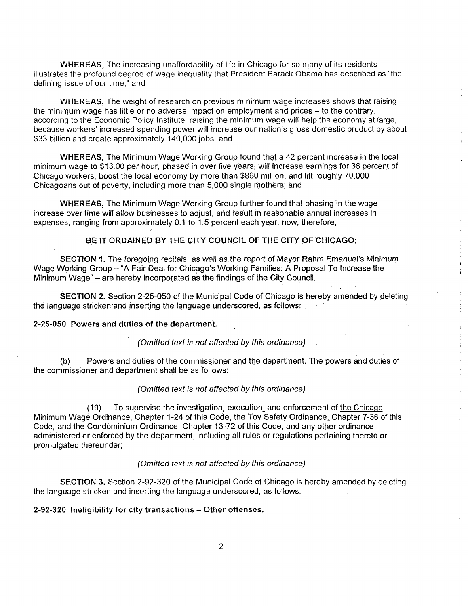WHEREAS, The increasing unaffordabiiity of life in Chicago for so many of its residents illustrates the profound degree of wage inequality that President Barack Obama has described as "the defining issue of our time;" and

WHEREAS, The weight of research on previous minimum wage increases shows that raising the minimum wage has little or no adverse impact on employment and prices  $-$  to the contrary, according to the Economic Policy Institute, raising the minimum wage will help the economy at large, because workers' increased spending power will increase our nation's gross domestic product by about \$33 billion and create approximately 140,000 jobs; and

WHEREAS, The Minimum Wage Working Group found that a 42 percent increase in the local minimum wage to \$13.00 per hour, phased in over five years, will increase earnings for 36 percent of Chicago workers, boost the local economy by more than \$860 million, and lift roughly 70,000 Chicagoans out of poverty, including more than 5,000 single mothers; and

WHEREAS, The Minimum Wage Working Group further found that phasing in the wage increase over time will allow businesses to adjust, and result in reasonable annual increases in expenses, ranging from approximately 0.1 to 1.5 percent each year; now, therefore,

## BE IT ORDAINED BY THE GITY COUNCILOF THE CITY OF CHICAGO:

 $\bar{z}$ 

医皮炎

 $\frac{1}{k}$ 

SECTION 1. The foregoing recitals, as well as the report of Mayor Rahm Emanuel's Minimum Wage Working Group - "A Fair Deal for Chicago's Working Families: A Proposal To Increase the Minimum Wage" - are hereby incorporated as the findings of the City Council.

SECTION 2. Section 2-25-050 of the Municipal Code of Chicago is hereby amended by deleting the language stricken and inserting the language underscored, as follows; .

#### 2-25-050 Powers and duties of the department,

(Omitted text is not affected by this ordinance)

(b) Powers and duties of the commissioner and the department. The powers and duties of the commissioner and department shall be as follows:

#### (Omitted text is not affected by this ordinance)

(19) To supervise the investigation, execution^ and enforcement of the Chicago Minimum Wage Ordinance. Chapter 1-24 of this Code, the Toy Safety Ordinance, Chapter 7-36 of this Code,-and the Condominium Ordinance, Chapter 13-72 ofthis Code, and any other ordinance administered or enforced by the department, including all rules or regulations pertaining thereto or promulgated thereunder;

#### (Omitted text is not affected by this ordinance)

SECTION 3. Section 2-92-320 of the Municipal Code of Chicago is hereby amended by deleting the language stricken and inserting the language underscored, as follows;

#### 2-92-320 Ineligibility for city transactions - Other offenses.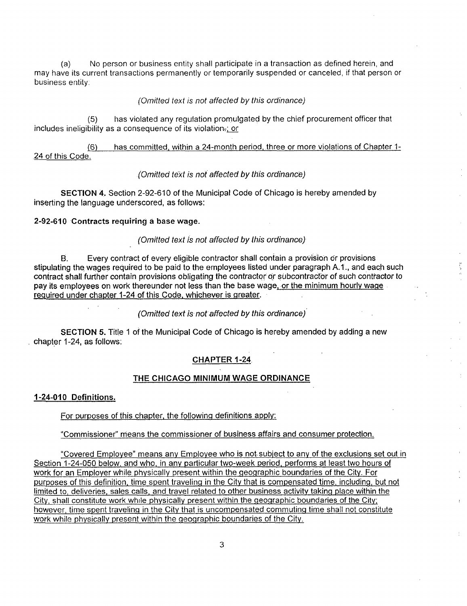(a) No person or business entity shall participate in a transaction as defined herein, and may have its current transactions permanently or temporarily suspended or canceled, if that person or business entity:

#### (Omitted text is not affected by this ordinance)

(5) has violated any regulation promulgated by the chief procurement officer that  $in$ cludes ineligibility as a consequence of its violation $\epsilon$ ; or

(6) has committed, within a 24-month period, three or more violations of Chapter 1- 24 of this Code.

#### (Omitted text is not affected, by this ordinance)

SECTION 4. Section 2-92-610 of the Municipal Code of Chicago is hereby amended by inserting the language underscored, as follows:

## 2-92-610 Contracts requiring a base wage.

## (Omitted text is not affected by this ordinance)

B, Every contract of every eligible contractor shall contain a provision or provisions stipulating the wages required to be paid to the employees listed under paragraph A.1,, and each such contract shall further contain provisions obligating the contractor or subcontractor of such contractor to pay its employees on work thereunder not less than the base wage, or the minimum hourly wage reguired under chapter 1-24 of this Code, whichever is greater.

(Omitted text is not affected by this ordinance)

SECTION 5. Title 1 of the Municipal Code of Chicago is hereby amended by adding a new chapter 1-24, as follows;

#### **CHAPTER 1-24**

## **THE CHICAGO MINIMUM WAGE ORDINANCE**

#### **1-24-010 Definitions.**

For purposes of this chapter, the following definitions apply:

#### "Commisisioher" means the commissioner of business affairs and consumer protection.

"Covered Employee" means any Employee who is not subject to any of the exclusions set out in Section 1-24-050 below, and who, in any particular two-week period, performs at least two hours of work for an Employer while physically present within the geographic boundaries ofthe City. For purposes of this definition, time spent traveling in the City that is compensated time, including, but not limited to, deliveries, sales calls, and travel related to other business activity taking place within the City, shall constitute work while physically present within the geographic boundaries of the City; however, time spent traveling in the City that is uncompensated commuting time shall not constitute work while physically present within the geographic boundaries of the City.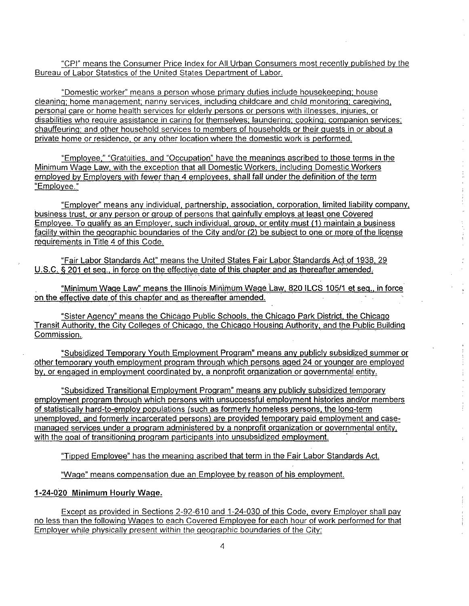"CPI" means the Consumer Price Index for All Urban Consumers most recently published by the Bureau of Labor Statistics of the United States Department of Labor.

"Domestic worker" means a person whose primary duties include housekeeping; house cleaning; home management; nanny services, Including childcare and child monitoring; caregiving, personal care or home health services for elderiy persons or persons with illnesses, injuries, or disabilities who reguire assistance in caring for themselves; laundering; cooking; companion services; chauffeuring; and other household services to members of households or their guests in or about a private home or residence, or any other location where the domestic work is performed.

"Employee." "Gratuities, and "Occupation" have the meanings ascribed to those terms in the Minimum Wage Law, with the exception that all Domestic Workers- including Domestic Workers employed by Employers with fewer than 4 employees, shall fall under the definition of the term "Employee."

"Employer" means any individual, partnership, association, corporation, limited liability company, business trust, or any person or group of persons thatgainfully employs at least one Covered Employee. To gualify as an Employer, such individual, group, or entitv must (1) maintain a business facility within the geographic boundaries of the City and/or (2) be subject to one or more of the license requirements in Title 4 of this Code.

医水平 医中间 医金属医金属 化硫

医心理 医心理

 $\begin{array}{c} 1 \\ 1 \\ 2 \end{array}$ 

"Fair Labor Standards Act" means the United States Fair Labor Standards Actof 1938. 29 U.S.C. § 201 et seg.. in force on the effective date of this chapter and as thereafter amended.

"Minimum Wage Law" means the Illinois Minimum Wage Law, 820 ILCS 105/1 et seg., in force on the effective date of this chapter and as thereafter amended.

"Sister Agency" meahs the Chicago Public Schools, the Chicago Park District, the Chicago Transit Authority, the City Colleges of Chicago, the Ghicago Housing Authority, and the Public Building Commission.

"Subsidized Temporary Youth Employment Program" means any publicly subsidized summer or other temporary youth employment program through which persons aged 24 or younger are employed by. or engaged in employment coordinated by. a nonprofit organization or governmental entity.

"Subsidized Transitional Employment Program" means any publicly subsidized temporary employment program through which persons with unsuccessful employment histories and/or members of statistically hard-to-employ populations (such as formeriy homeless persons, the long-term unemployed, and formeriy incarcerated persons) are provided temporary paid employment and casemanaged services, under a program administered by a nonprofit organization or governmental entity, with the goal of transitioning program participants into unsubsidized employment.

"Tipped Employee" has the meaning ascribed that term in the Fair Labor Standards Act.

"Wage" means compensation due an Employee by reason of his employment.

#### **1-24-020 Minimum Hourly Wage.**

Except as provided in Sections 2-92-610 and 1-24-030 of this Code, every Employer shall pay no less than the following Wages to each Covered Employee for each hour of work performed for that Employer while physically present within the geographic boundaries of the City;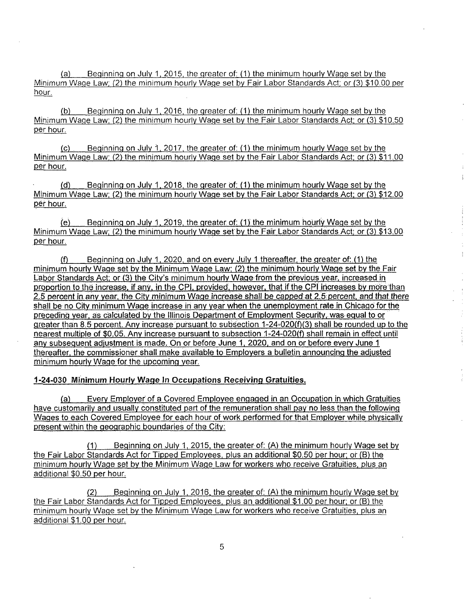(a) Beginning on July 1. 2015. the greater of; (1) the minimum hourly Wage set by the Minimum Wage Law; (2) the minimum houriy Wage set by Fair Labor Standards Act; or (3) \$10.00 per hour.

(b) Beginning on July 1. 2016. the greater of; (1) the minimum houriy Wage set by the Minimum Wage Law; (2) the minimum hourly Wage set by the Fair Labor Standards Act; or (3) \$10.50 per hour.

(c) Beginning on July 1, 2017, the greater of:  $(1)$  the minimum hourly Wage set by the Minimum Wage Law; (2) the minimum hourly Wage set by the Fair Labor Standards Act; or (3) \$11.00 per hour.

(d) Beginning on July 1. 2018. the greater bf; (1) the minimum houriy Wage set by the Minimum Wage Law; (2) the minimum hourly Wage set by the Fair Labor Standards Act: or (3) \$12.00 per hour.

š,

 $\frac{1}{4}$ 

 $\frac{1}{2}$  $\frac{1}{2}$ 

 $(e)$  Beginning on July 1, 2019, the greater of:  $(1)$  the minimum hourly Wage set by the Minimum Wage Law; (2) the minimum houriy Wage set by the Fair Labor Standards Act: or (3) \$13.00 per hour.

(f) Beginning on July 1, 2020, and on every July 1 thereafter, the greater of:  $(1)$  the minimum houriy Wage set by the Minimum Wage Law: (2) the minimum houriy Wage set by the Fair Labor Standards Act: or (3) the City's minimum houriy Wage from the previous year, increased in proportion to the increase, if any, in the CPI, provided, however, that if the CPI increases by more than 2.5 percent in any year, the City minimum Wage increase shall be capped at 2.5 percent, and that there shall be no City minimum Wage increase in any year when the unemployment rate in Chicago for the preceding year, as calculated by the Illinois Department of Employment Security, was egual to or greater than 8.5 percent. Any increase pursuant to subsection 1-24-020(f)(3) shall be rounded up to the nearest multiple of \$0.05. Any increase pursuant to subsection 1-24-020(f) shall remain in effect until any subseguent adiustment is made. On or before June 1. 2020. and on dr before every June 1 thereafter, the commissioner shall make available to Employers a bulletin announcing the adjusted minimum houriy Wage for the upcoming year.

**1-24-030 Minimum Hourly Wage In Occupations Receiving Gratuities.** 

(a) Every Employer of a Covered Employee engaged in an Occupation in which Gratuities have customarily and usually constituted part of the remuneration shall pay no less than the following Wages to each Covered Employee for each hour of work performed for that Employer while physically present within the geographic boundaries of the City:

(1) Beginning on July 1. 2015. the greater of: (A) the minimum houriy Wage set by the Fair Labor Standards Act for Tipped Employees, plus an additional \$0.50 per hour; or (B) the minimum houriy Wage set by the Minimum Wage Law for workers who receive Gratuities, plus an additional \$0.50 per hour.

(2) Beginning on July 1. 2016. the greater of; (A) the minimum houriy Wage set by the Fair Labor Standards Act for Tipped Employees, plus an additional \$1.00 per hour; or (B) the minimum hourly Wage set by the Minimum Wage Law for workers who receive Gratuities, plus an additional \$1.00 per hour.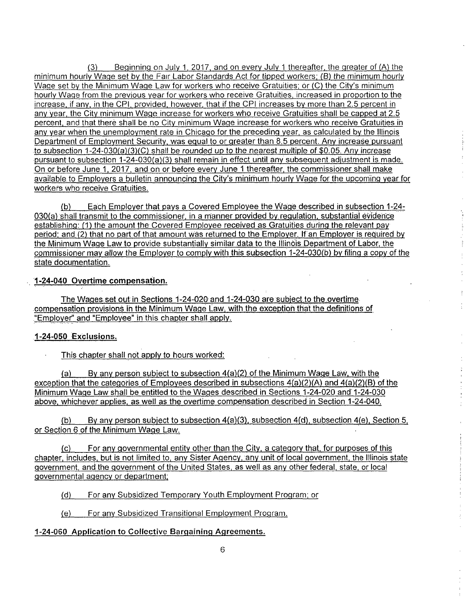(3) Beginning on July 1, 2017. and on every July 1 thereafter, the greater of (A) the minimum houriy Wage set by the Fair Labor Standards Act for tipped workers; (B) the minimum houriy Wage set by the Minimum Wage Law for workers who receive Gratuities; or (C) the City's minimum houriy Wage from the previous year for workers who receive Gratuities, Increased in proportion to the increase. If any. In the CPI, provided, however, that if the CPI increases by more than 2.5 percent in any year, the City minimum Wage increase for workers who receive Gratuities shall be capped at 2.5 percent, and that there shall be no City minimum Wage increase for workers who receive Gratuities in any year when the unemployment rate in Chicago for the preceding year, as calculated by the Illinois Department of Employment Securitv. was egual to or greater than 8.5 percent. Any increase pursuant to subsection 1-24-030(a)(3)(C) shall be rounded up to the nearest multiple of \$0.05. Any increase pursuant to subsection 1-24-030(a)(3) shall remain in effect until any subseguent adiustment is made. On or before June 1. 2017. and on or before every June 1 thereafter, the commissioner shall make available to Employers a bulletin announcing the City's minimum hourly Wage for the upcoming year for workers who receive Gratuities.

 $\frac{1}{2}$ 

 $\bar{\gamma}$  $\frac{1}{2}$ 

 $\bar{z}$ 

 $\frac{1}{3}$ 

 $\begin{array}{c} \bullet \\ \bullet \\ \bullet \\ \bullet \end{array}$ 

 $\alpha$  , where  $\alpha$  is the set of the contract of the following  $\alpha$ 

(b) Each Employer that pays a Covered Employee the Wage described in subsection 1-24- 030(a) shall transmit to the commissioner, in a manner provided by regulation, substantial evidence establishing: (1) the amount the Covered Employee received as Gratuities during the relevant pay period: and (2) that no part of that amount was returned to the Employer. If an Employer is reguired by the Minimum Wage Law to provide substantially similar data to the Illinois Department of Labor, the commissioner may allow the Employer to comply with this subsection 1-24-030(b) bv filing a copy of the state documentation.

# **1-24-040 Overtime compensation.**

The Wages set out in Sections 1-24-020 and 1-24-030 are subject to the overtime compensation provisions ih the Minimum Wage Law, with the exception that the definitions of "Employer" and "Employee" in this chapter shall apply.

## **1-24-050 Exclusions.**

#### This chapter shall not apply to hours worked:

(a) By any person subject to subsection 4(a)(2) of the Minimum Wage Law, with the exception that the categories of Employees described in subsections  $4(a)(2)(A)$  and  $4(a)(2)(B)$  of the Minimum Wage Law shall be entitled to the Wages described in Sections 1-24-020 and' 1-24-030 above, whichever applies, as well as the overtime compensation described in Section 1-24-040.

(b) By any person subject to subsection  $4(a)(3)$ , subsection  $4(d)$ , subsection  $4(e)$ , Section 5. or Section 6 of the Minimum Wage Law.

(c) For any governmental entity other than the City, a category that, for purposes of this chapter, includes, but is not limited to. any Sister Agency, any unit of local government, the Illinois state government, and the government ofthe United States, as well as any other federal, state, or local governmental agency or department;

(d) For any Subsidized Temporary Youth Employment Program; or

(e) For any Subsidized Transitional Employment Program.

# 1-24-060 Application to Collective Bargaining Agreements.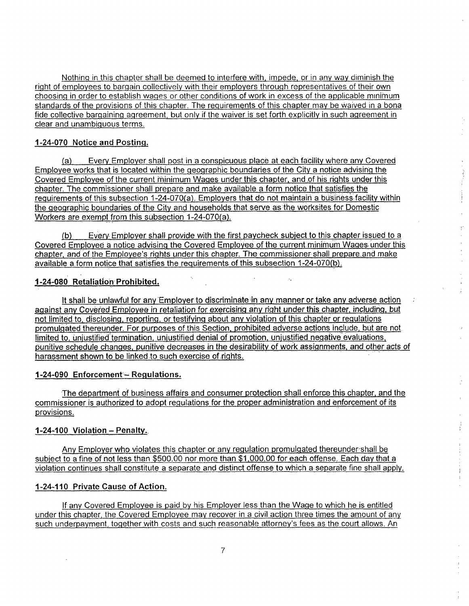Nothing in this chapter shall be deemed to interfere with, impede, or in any way diminish the right of ernployees to bargain collectively with their employers through representatives of their own choosing in order to establish wages or other conditions of work in excess of the applicable minimum standards of the provisions of this chapter. The reguirements of this chapter may be waived in a bona fide collective bargaining agreement, but only if the waiver is set forth explicitly in such agreement in clear and unambiguous terms.

## **1-24-070 Notice and Posting.**

(a) Every Employer shall post in a conspicuous place at each facility where any Covered Employee works that is located within the geographic boundaries of the Citv a notice advising the Covered Employee of the current minimum Wages under this chapter, and of his rights under this chapter. The commissioner shall prepare and make available a form notice that satisfies the requirements of this subsection 1-24-070(a). Employers that do not maintain a business facility within the geographic boundaries ofthe Citv and households that serve as the worksites for Domestic Workers are exempt from this subsection 1-24-070(a).

 $\begin{array}{c} \mathbf{1} & \mathbf{1} \\ \mathbf{1} & \mathbf{1} \\ \mathbf{1} & \mathbf{1} \end{array}$ 

 $\ddot{\phantom{a}}$  $\mathbb{P}^1$  $\overline{\phantom{a}}$ 

 $\frac{1}{2}$ 

 $\frac{1}{2}$ ÷,

(b) Every Employer shall provide with the first paycheck subject to this chapter issued to a Covered Employee a notice advising the Covered Employee of the current minimum Wages under this chapter, and of the Employee's rights under this chapter. The commissioner shall prepare .and make available a form notice that satisfies the reguirements of this subsection 1r24-07Q(b).

#### **1 -24-080 Retaliation Prohibited.**

It shall be unlawful for any Employer to discriminate in any manner or take any adverse action  $\ddot{\cdot}$ against any Covered Employee in retaliation for exercising any right under this chapter, including, but not limited to, disclosing, reporting, or testifying about any violation of this chapter or regulations promulgated thereunder. For purposes of this Section, prohibited adverse actions include, but are not limited to. unjustified termination, uniustified denial of promotion, unjustified negative evaluations, punitive schedule changes, punitive decreases in the desirability of work assignments, and other acts of harassment shown to be linked to such exercise of rights.

#### **1-24-090 Enforcement - Regulations.**

The department of business affairs and consumer protection shall enforce this chapter, and the commissioner is authorized to adopt regulations for the proper administration and enforcement of its provisions.

#### **1-24-100 Violation - Penalty.**

Any Employer who violates this chapter or any regulation promulgated thereunder shall be subject to a fine of not less than \$500.00 nor more than \$1.000,00 for each offense. Each dav that a violation continues shall constitute a separate and distinct offense to which a separate fine shall apply.

#### **1 -24-110 Private Cause of Action.**

If any Covered Employee is paid by his Employer less than the Wage to which he is entitled under this chapter, the Covered Employee may recover in a civil action three times the amount of any such underpayment, together with costs and such reasonable attorney's fees as the court allows. An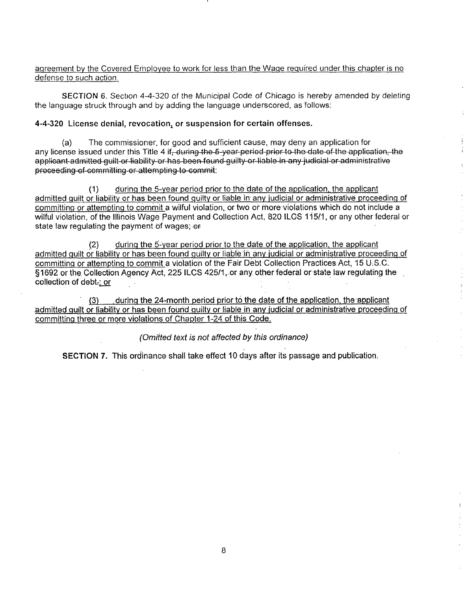agreement by the Covered Employee to work for less than the Wage reguired under this chapter is no defense to such action.

SECTION 6. Section 4-4-320 of the Municipal Code of Chicago is hereby amended by deleting the language struck through and by adding the language underscored, as follows:

## 4-4-320 License denial, revocation, or suspension for certain offenses.

(a) The commissioner, for good and sufficient cause, may deny an application for any license issued under this Title 4 if-during-the-5-year-period-prior-to-the-date-of-the-application-the applicant-admitted-quilt-or-liability-or-has-been-found-guilty-or-liable-in-any-judicial-or-administrative proceeding-of-committing-or-attempting to commit:

÷,

 $\frac{1}{4}$ 

 $\hat{\mathcal{A}}$ 

 $\frac{1}{2}$  $\ddot{\ddot{\mathrm{r}}}$  $\frac{1}{4}$ 

(1) during the 5-vear period prior to the date of the application, the applicant admitted guilt or liability or has been found guilty or liable in any iudicial or administrative proceeding of committing or attempting to commit a wilful violation, or two or more violations which do not include a wilful violation, of the Illinois Wage Payment and Collection Act, 820 ILCS 115/1, or any other federal or state law regulating the payment of wages; or

(2) during the 5-vear period prior to the date of the application, the applicant admitted guilt or liability or has been found guilty or liable in any judicial or administrative proceeding of committing or attempting to commit a violation of the Fair Debt Collection Practices: Act, 15 U.S.C. §1692 or the Collection Agency Act, 225 ILCS 425/1, or any other federal or state law regulating the collection of debt-; or

(3) . during the 24-month period prior to the date of the application, the applicant admitted guilt or liability or has been found guilty or liable in any iudicial or administrative proceeding of committing three or more violations of Chapter 1-24. of this Code.

(Omitted text is not affected by this ordinance)

SECTION 7. This ordinance shall take effect 10 days after its passage and publication.